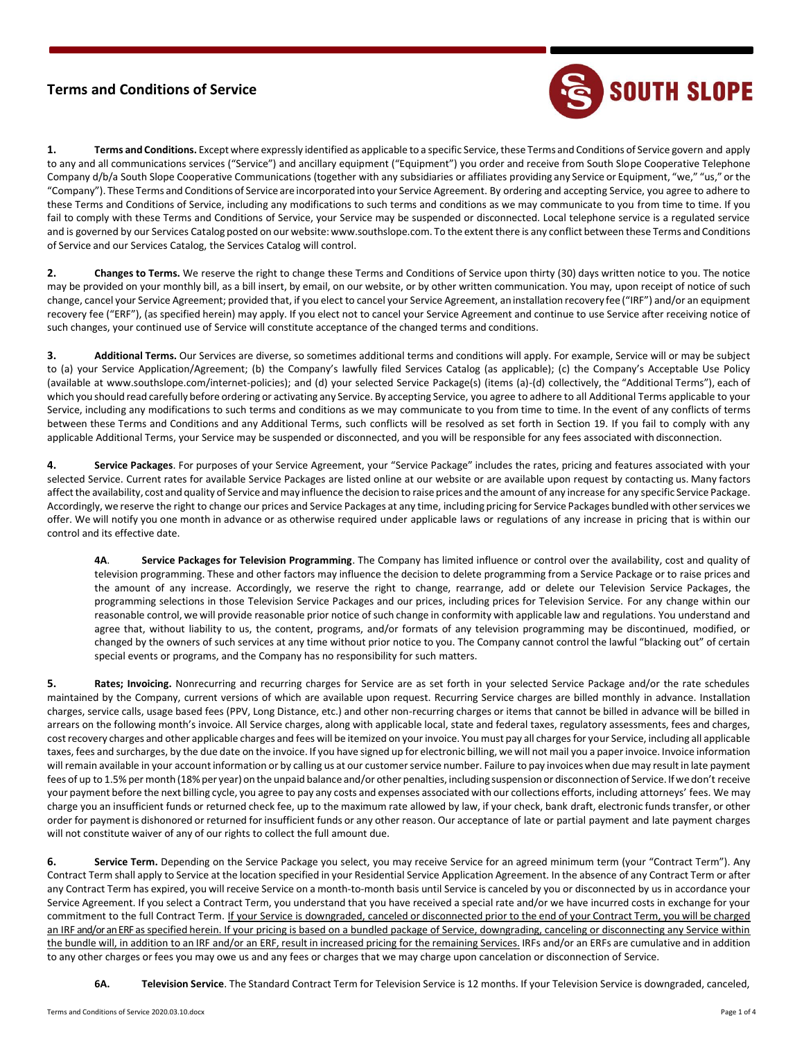## **Terms and Conditions of Service**



**1. Terms and Conditions.** Except where expressly identified as applicable to a specific Service, these Terms and Conditions of Service govern and apply to any and all communications services ("Service") and ancillary equipment ("Equipment") you order and receive from South Slope Cooperative Telephone Company d/b/a South Slope Cooperative Communications (together with any subsidiaries or affiliates providing any Service or Equipment, "we," "us," orthe "Company"). These Terms and Conditions of Service are incorporated into your Service Agreement. By ordering and accepting Service, you agree to adhere to these Terms and Conditions of Service, including any modifications to such terms and conditions as we may communicate to you from time to time. If you fail to comply with these Terms and Conditions of Service, your Service may be suspended or disconnected. Local telephone service is a regulated service and is governed by our Services Catalog posted on our website[:www.southslope.com.](http://www.southslope.com/) To the extent there is any conflict between these Terms and Conditions of Service and our Services Catalog, the Services Catalog will control.

**2. Changes to Terms.** We reserve the right to change these Terms and Conditions of Service upon thirty (30) days written notice to you. The notice may be provided on your monthly bill, as a bill insert, by email, on our website, or by other written communication. You may, upon receipt of notice of such change, cancel your Service Agreement; provided that, if you elect to cancel your Service Agreement, aninstallation recovery fee ("IRF") and/or an equipment recovery fee ("ERF"), (as specified herein) may apply. If you elect not to cancel your Service Agreement and continue to use Service after receiving notice of such changes, your continued use of Service will constitute acceptance of the changed terms and conditions.

**3. Additional Terms.** Our Services are diverse, so sometimes additional terms and conditions will apply. For example, Service will or may be subject to (a) your Service Application/Agreement; (b) the Company's lawfully filed Services Catalog (as applicable); (c) the Company's Acceptable Use Policy (available at [www.southslope.com/internet-policies\);](http://www.southslope.com/internet-policies)%3B) and (d) your selected Service Package(s) (items (a)-(d) collectively, the "Additional Terms"), each of which you should read carefully before ordering or activating any Service. By accepting Service, you agree to adhere to all Additional Terms applicable to your Service, including any modifications to such terms and conditions as we may communicate to you from time to time. In the event of any conflicts of terms between these Terms and Conditions and any Additional Terms, such conflicts will be resolved as set forth in Section 19. If you fail to comply with any applicable Additional Terms, your Service may be suspended or disconnected, and you will be responsible for any fees associated with disconnection.

**4. Service Packages**. For purposes of your Service Agreement, your "Service Package" includes the rates, pricing and features associated with your selected Service. Current rates for available Service Packages are listed online at our website or are available upon request by contacting us. Many factors affectthe availability, cost and quality of Service andmay influence the decision to raise prices and the amount of any increase for any specific Service Package. Accordingly, we reserve the right to change our prices and Service Packages at any time, including pricing for Service Packages bundledwith otherservices we offer. We will notify you one month in advance or as otherwise required under applicable laws or regulations of any increase in pricing that is within our control and its effective date.

**4A**. **Service Packages for Television Programming**. The Company has limited influence or control over the availability, cost and quality of television programming. These and other factors may influence the decision to delete programming from a Service Package or to raise prices and the amount of any increase. Accordingly, we reserve the right to change, rearrange, add or delete our Television Service Packages, the programming selections in those Television Service Packages and our prices, including prices for Television Service. For any change within our reasonable control, we will provide reasonable prior notice ofsuch change in conformity with applicable law and regulations. You understand and agree that, without liability to us, the content, programs, and/or formats of any television programming may be discontinued, modified, or changed by the owners of such services at any time without prior notice to you. The Company cannot control the lawful "blacking out" of certain special events or programs, and the Company has no responsibility for such matters.

**5. Rates; Invoicing.** Nonrecurring and recurring charges for Service are as set forth in your selected Service Package and/or the rate schedules maintained by the Company, current versions of which are available upon request. Recurring Service charges are billed monthly in advance. Installation charges, service calls, usage based fees (PPV, Long Distance, etc.) and other non-recurring charges or items that cannot be billed in advance will be billed in arrears on the following month's invoice. All Service charges, along with applicable local, state and federal taxes, regulatory assessments, fees and charges, cost recovery charges and other applicable charges and fees will be itemized on your invoice. You must pay all charges for your Service, including all applicable taxes, fees and surcharges, by the due date on the invoice. If you have signed up for electronic billing, we will not mail you a paper invoice. Invoice information will remain available in your account information or by calling us at our customer service number. Failure to pay invoices when due may result in late payment fees of up to 1.5% per month (18% per year) on the unpaid balance and/or other penalties, including suspension or disconnection of Service. If we don't receive your payment before the next billing cycle, you agree to pay any costs and expenses associated with our collections efforts, including attorneys' fees. We may charge you an insufficient funds or returned check fee, up to the maximum rate allowed by law, if your check, bank draft, electronic funds transfer, or other order for payment is dishonored or returned for insufficient funds or any other reason. Our acceptance of late or partial payment and late payment charges will not constitute waiver of any of our rights to collect the full amount due.

**6. Service Term.** Depending on the Service Package you select, you may receive Service for an agreed minimum term (your "Contract Term"). Any Contract Term shall apply to Service at the location specified in your Residential Service Application Agreement. In the absence of any Contract Term or after any Contract Term has expired, you will receive Service on a month-to-month basis until Service is canceled by you or disconnected by us in accordance your Service Agreement. If you select a Contract Term, you understand that you have received a special rate and/or we have incurred costs in exchange for your commitment to the full Contract Term. If your Service is downgraded, canceled or disconnected prior to the end of your Contract Term, you will be charged an IRF and/or an ERF as specified herein. If your pricing is based on a bundled package of Service, downgrading, canceling or disconnecting any Service within the bundle will, in addition to an IRF and/or an ERF, result in increased pricing for the remaining Services. IRFs and/or an ERFs are cumulative and in addition to any other charges or fees you may owe us and any fees or charges that we may charge upon cancelation or disconnection of Service.

**6A. Television Service**. The Standard Contract Term for Television Service is 12 months. If your Television Service is downgraded, canceled,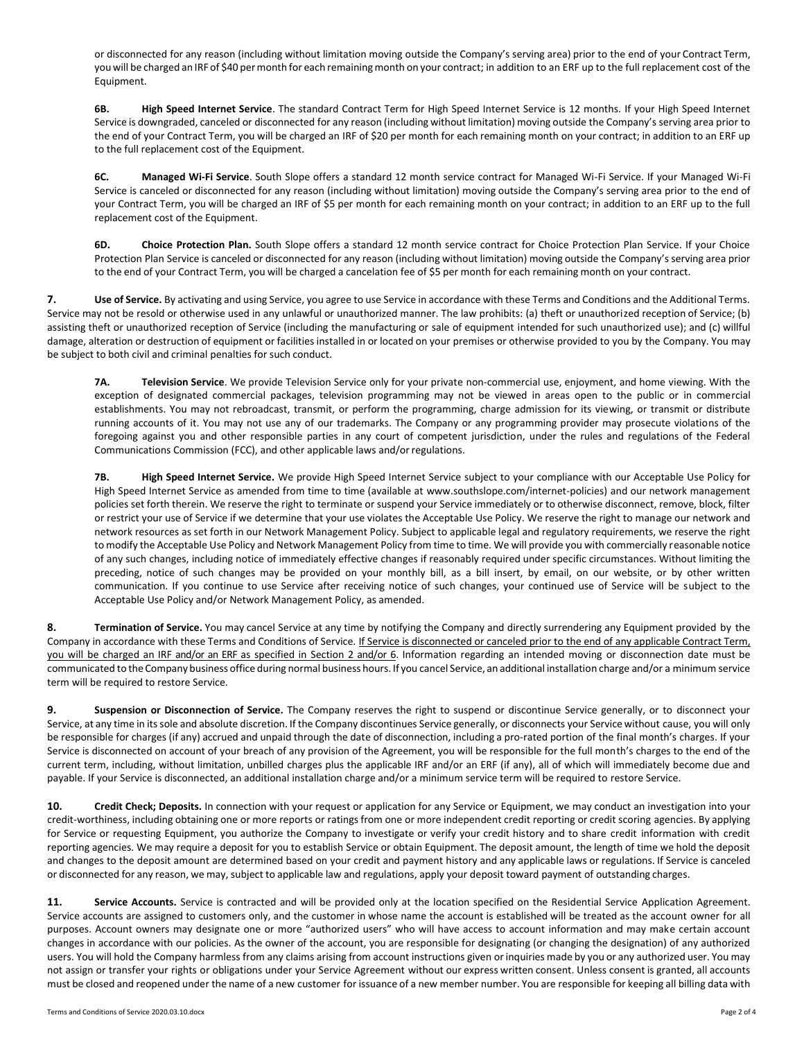or disconnected for any reason (including without limitation moving outside the Company's serving area) prior to the end of your Contract Term, you will be charged an IRF of \$40 per month for each remaining month on your contract; in addition to an ERF up to the full replacement cost of the Equipment.

**6B. High Speed Internet Service**. The standard Contract Term for High Speed Internet Service is 12 months. If your High Speed Internet Service is downgraded, canceled or disconnected for any reason (including without limitation) moving outside the Company's serving area prior to the end of your Contract Term, you will be charged an IRF of \$20 per month for each remaining month on your contract; in addition to an ERF up to the full replacement cost of the Equipment.

**6C. Managed Wi-Fi Service**. South Slope offers a standard 12 month service contract for Managed Wi-Fi Service. If your Managed Wi-Fi Service is canceled or disconnected for any reason (including without limitation) moving outside the Company's serving area prior to the end of your Contract Term, you will be charged an IRF of \$5 per month for each remaining month on your contract; in addition to an ERF up to the full replacement cost of the Equipment.

**6D. Choice Protection Plan.** South Slope offers a standard 12 month service contract for Choice Protection Plan Service. If your Choice Protection Plan Service is canceled or disconnected for any reason (including without limitation) moving outside the Company's serving area prior to the end of your Contract Term, you will be charged a cancelation fee of \$5 per month for each remaining month on your contract.

**7.** Use of Service. By activating and using Service, you agree to use Service in accordance with these Terms and Conditions and the Additional Terms. Service may not be resold or otherwise used in any unlawful or unauthorized manner. The law prohibits: (a) theft or unauthorized reception of Service; (b) assisting theft or unauthorized reception of Service (including the manufacturing or sale of equipment intended for such unauthorized use); and (c) willful damage, alteration or destruction of equipment or facilities installed in or located on your premises or otherwise provided to you by the Company. You may be subject to both civil and criminal penalties for such conduct.

**7A. Television Service**. We provide Television Service only for your private non-commercial use, enjoyment, and home viewing. With the exception of designated commercial packages, television programming may not be viewed in areas open to the public or in commercial establishments. You may not rebroadcast, transmit, or perform the programming, charge admission for its viewing, or transmit or distribute running accounts of it. You may not use any of our trademarks. The Company or any programming provider may prosecute violations of the foregoing against you and other responsible parties in any court of competent jurisdiction, under the rules and regulations of the Federal Communications Commission (FCC), and other applicable laws and/orregulations.

**7B. High Speed Internet Service.** We provide High Speed Internet Service subject to your compliance with our Acceptable Use Policy for High Speed Internet Service as amended from time to time (available at [www.southslope.com/internet-policies\) a](http://www.southslope.com/internet-policies)nd our network management policies set forth therein. We reserve the right to terminate or suspend your Service immediately or to otherwise disconnect, remove, block, filter or restrict your use of Service if we determine that your use violates the Acceptable Use Policy. We reserve the right to manage our network and network resources as set forth in our Network Management Policy. Subject to applicable legal and regulatory requirements, we reserve the right to modify the Acceptable Use Policy and Network Management Policy from time to time. We will provide you with commercially reasonable notice of any such changes, including notice of immediately effective changes if reasonably required under specific circumstances. Without limiting the preceding, notice of such changes may be provided on your monthly bill, as a bill insert, by email, on our website, or by other written communication. If you continue to use Service after receiving notice of such changes, your continued use of Service will be subject to the Acceptable Use Policy and/or Network Management Policy, as amended.

**8. Termination of Service.** You may cancel Service at any time by notifying the Company and directly surrendering any Equipment provided by the Company in accordance with these Terms and Conditions of Service. If Service is disconnected or canceled prior to the end of any applicable Contract Term, you will be charged an IRF and/or an ERF as specified in Section 2 and/or 6. Information regarding an intended moving or disconnection date must be communicated to the Company business office during normal business hours. If you cancel Service, an additional installation charge and/or a minimum service term will be required to restore Service.

**9. Suspension or Disconnection of Service.** The Company reserves the right to suspend or discontinue Service generally, or to disconnect your Service, at any time in its sole and absolute discretion. If the Company discontinues Service generally, or disconnects your Service without cause, you will only be responsible for charges (if any) accrued and unpaid through the date of disconnection, including a pro-rated portion of the final month's charges. If your Service is disconnected on account of your breach of any provision of the Agreement, you will be responsible for the full month's charges to the end of the current term, including, without limitation, unbilled charges plus the applicable IRF and/or an ERF (if any), all of which will immediately become due and payable. If your Service is disconnected, an additional installation charge and/or a minimum service term will be required to restore Service.

**10. Credit Check; Deposits.** In connection with your request or application for any Service or Equipment, we may conduct an investigation into your credit-worthiness, including obtaining one or more reports or ratings from one or more independent credit reporting or credit scoring agencies. By applying for Service or requesting Equipment, you authorize the Company to investigate or verify your credit history and to share credit information with credit reporting agencies. We may require a deposit for you to establish Service or obtain Equipment. The deposit amount, the length of time we hold the deposit and changes to the deposit amount are determined based on your credit and payment history and any applicable laws or regulations. If Service is canceled or disconnected for any reason, we may,subject to applicable law and regulations, apply your deposit toward payment of outstanding charges.

11. **Service Accounts.** Service is contracted and will be provided only at the location specified on the Residential Service Application Agreement. Service accounts are assigned to customers only, and the customer in whose name the account is established will be treated as the account owner for all purposes. Account owners may designate one or more "authorized users" who will have access to account information and may make certain account changes in accordance with our policies. As the owner of the account, you are responsible for designating (or changing the designation) of any authorized users. You will hold the Company harmless from any claims arising from account instructions given orinquiries made by you or any authorized user. You may not assign or transfer your rights or obligations under your Service Agreement without our express written consent. Unless consent is granted, all accounts must be closed and reopened under the name of a new customer for issuance of a new member number. You are responsible for keeping all billing data with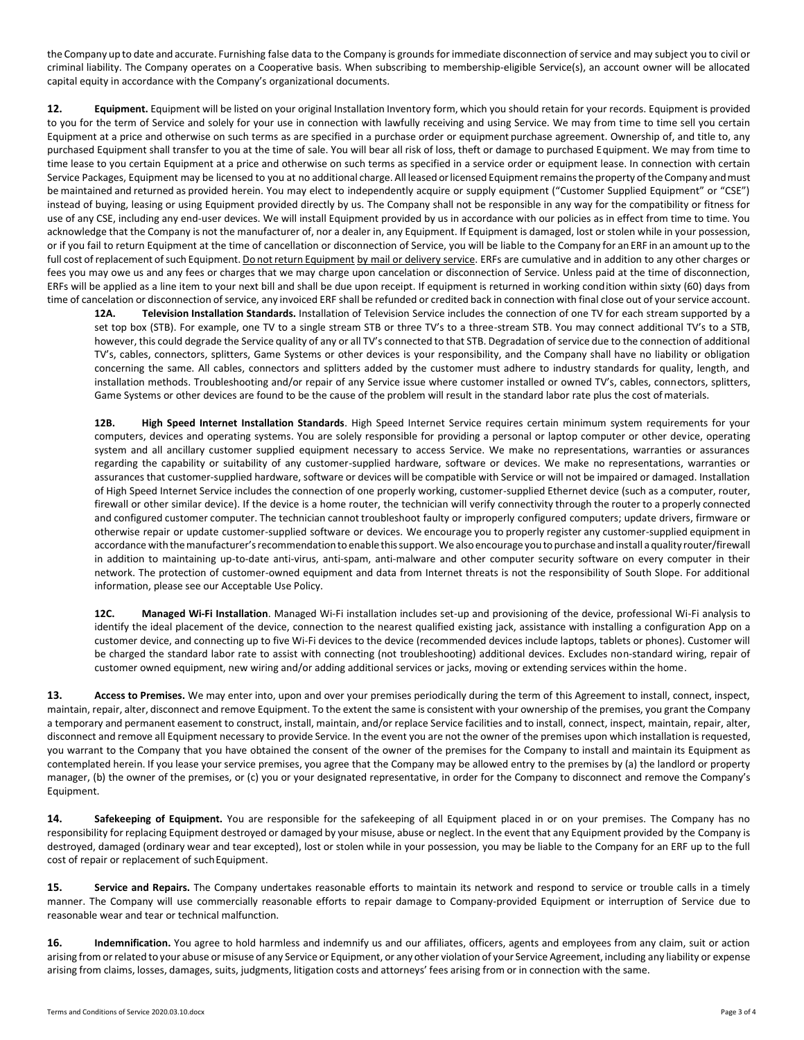the Company up to date and accurate. Furnishing false data to the Company is grounds for immediate disconnection of service and may subject you to civil or criminal liability. The Company operates on a Cooperative basis. When subscribing to membership-eligible Service(s), an account owner will be allocated capital equity in accordance with the Company's organizational documents.

**12. Equipment.** Equipment will be listed on your original Installation Inventory form, which you should retain for your records. Equipment is provided to you for the term of Service and solely for your use in connection with lawfully receiving and using Service. We may from time to time sell you certain Equipment at a price and otherwise on such terms as are specified in a purchase order or equipment purchase agreement. Ownership of, and title to, any purchased Equipment shall transfer to you at the time of sale. You will bear all risk of loss, theft or damage to purchased Equipment. We may from time to time lease to you certain Equipment at a price and otherwise on such terms as specified in a service order or equipment lease. In connection with certain Service Packages, Equipment may be licensed to you at no additional charge. All leased or licensed Equipment remains the property of the Company and must be maintained and returned as provided herein. You may elect to independently acquire or supply equipment ("Customer Supplied Equipment" or "CSE") instead of buying, leasing or using Equipment provided directly by us. The Company shall not be responsible in any way for the compatibility or fitness for use of any CSE, including any end-user devices. We will install Equipment provided by us in accordance with our policies as in effect from time to time. You acknowledge that the Company is not the manufacturer of, nor a dealer in, any Equipment. If Equipment is damaged, lost or stolen while in your possession, or if you fail to return Equipment at the time of cancellation or disconnection of Service, you will be liable to the Company for an ERF in an amount up to the full cost of replacement of such Equipment. Do not return Equipment by mail or delivery service. ERFs are cumulative and in addition to any other charges or fees you may owe us and any fees or charges that we may charge upon cancelation or disconnection of Service. Unless paid at the time of disconnection, ERFs will be applied as a line item to your next bill and shall be due upon receipt. If equipment is returned in working condition within sixty (60) days from time of cancelation or disconnection of service, any invoiced ERF shall be refunded or credited back in connection with final close out of your service account.

**12A. Television Installation Standards.** Installation of Television Service includes the connection of one TV for each stream supported by a set top box (STB). For example, one TV to a single stream STB or three TV's to a three-stream STB. You may connect additional TV's to a STB, however, this could degrade the Service quality of any or all TV's connected to that STB. Degradation of service due to the connection of additional TV's, cables, connectors, splitters, Game Systems or other devices is your responsibility, and the Company shall have no liability or obligation concerning the same. All cables, connectors and splitters added by the customer must adhere to industry standards for quality, length, and installation methods. Troubleshooting and/or repair of any Service issue where customer installed or owned TV's, cables, connectors, splitters, Game Systems or other devices are found to be the cause of the problem will result in the standard labor rate plus the cost ofmaterials.

**12B. High Speed Internet Installation Standards**. High Speed Internet Service requires certain minimum system requirements for your computers, devices and operating systems. You are solely responsible for providing a personal or laptop computer or other device, operating system and all ancillary customer supplied equipment necessary to access Service. We make no representations, warranties or assurances regarding the capability or suitability of any customer-supplied hardware, software or devices. We make no representations, warranties or assurances that customer-supplied hardware, software or devices will be compatible with Service or will not be impaired or damaged. Installation of High Speed Internet Service includes the connection of one properly working, customer-supplied Ethernet device (such as a computer, router, firewall or other similar device). If the device is a home router, the technician will verify connectivity through the router to a properly connected and configured customer computer. The technician cannot troubleshoot faulty or improperly configured computers; update drivers, firmware or otherwise repair or update customer-supplied software or devices. We encourage you to properly register any customer-supplied equipment in accordance withthemanufacturer'srecommendationto enablethissupport. We alsoencourage youto purchaseandinstall aquality router/firewall in addition to maintaining up-to-date anti-virus, anti-spam, anti-malware and other computer security software on every computer in their network. The protection of customer-owned equipment and data from Internet threats is not the responsibility of South Slope. For additional information, please see our Acceptable Use Policy.

**12C. Managed Wi-Fi Installation**. Managed Wi-Fi installation includes set-up and provisioning of the device, professional Wi-Fi analysis to identify the ideal placement of the device, connection to the nearest qualified existing jack, assistance with installing a configuration App on a customer device, and connecting up to five Wi-Fi devices to the device (recommended devices include laptops, tablets or phones). Customer will be charged the standard labor rate to assist with connecting (not troubleshooting) additional devices. Excludes non-standard wiring, repair of customer owned equipment, new wiring and/or adding additional services or jacks, moving or extending services within the home.

**13. Access to Premises.** We may enter into, upon and over your premises periodically during the term of this Agreement to install, connect, inspect, maintain, repair, alter, disconnect and remove Equipment. To the extent the same is consistent with your ownership of the premises, you grant the Company a temporary and permanent easement to construct, install, maintain, and/or replace Service facilities and to install, connect, inspect, maintain, repair, alter, disconnect and remove all Equipment necessary to provide Service. In the event you are not the owner of the premises upon which installation is requested, you warrant to the Company that you have obtained the consent of the owner of the premises for the Company to install and maintain its Equipment as contemplated herein. If you lease your service premises, you agree that the Company may be allowed entry to the premises by (a) the landlord or property manager, (b) the owner of the premises, or (c) you or your designated representative, in order for the Company to disconnect and remove the Company's Equipment.

**14. Safekeeping of Equipment.** You are responsible for the safekeeping of all Equipment placed in or on your premises. The Company has no responsibility for replacing Equipment destroyed or damaged by your misuse, abuse or neglect. In the event that any Equipment provided by the Company is destroyed, damaged (ordinary wear and tear excepted), lost or stolen while in your possession, you may be liable to the Company for an ERF up to the full cost of repair or replacement of such Equipment.

**15.** Service and Repairs. The Company undertakes reasonable efforts to maintain its network and respond to service or trouble calls in a timely manner. The Company will use commercially reasonable efforts to repair damage to Company-provided Equipment or interruption of Service due to reasonable wear and tear or technical malfunction.

**16. Indemnification.** You agree to hold harmless and indemnify us and our affiliates, officers, agents and employees from any claim, suit or action arising from or related to your abuse or misuse of any Service or Equipment, or any other violation of your Service Agreement, including any liability or expense arising from claims, losses, damages, suits, judgments, litigation costs and attorneys' fees arising from or in connection with the same.